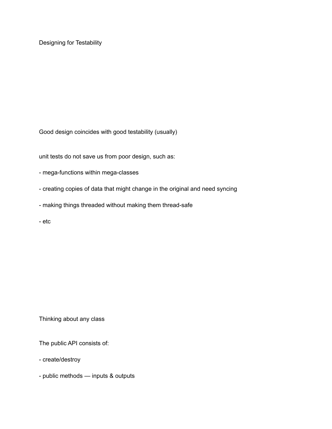Designing for Testability

Good design coincides with good testability (usually)

unit tests do not save us from poor design, such as:

- mega-functions within mega-classes
- creating copies of data that might change in the original and need syncing
- making things threaded without making them thread-safe
- etc

Thinking about any class

The public API consists of:

- create/destroy

- public methods — inputs & outputs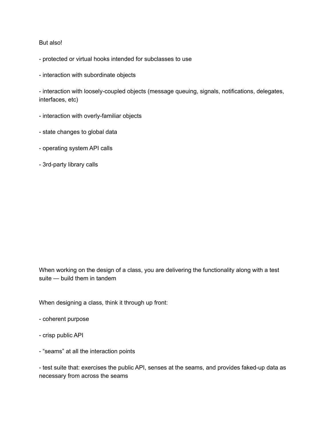## But also!

- protected or virtual hooks intended for subclasses to use

- interaction with subordinate objects

- interaction with loosely-coupled objects (message queuing, signals, notifications, delegates, interfaces, etc)

- interaction with overly-familiar objects
- state changes to global data
- operating system API calls
- 3rd-party library calls

When working on the design of a class, you are delivering the functionality along with a test suite — build them in tandem

When designing a class, think it through up front:

- coherent purpose
- crisp public API
- "seams" at all the interaction points

- test suite that: exercises the public API, senses at the seams, and provides faked-up data as necessary from across the seams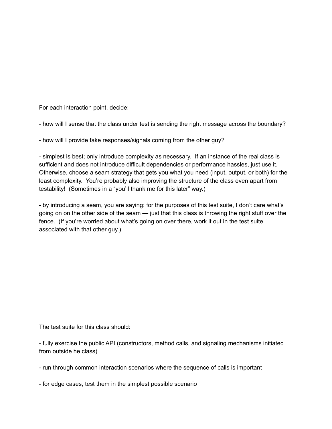For each interaction point, decide:

- how will I sense that the class under test is sending the right message across the boundary?

- how will I provide fake responses/signals coming from the other guy?

- simplest is best; only introduce complexity as necessary. If an instance of the real class is sufficient and does not introduce difficult dependencies or performance hassles, just use it. Otherwise, choose a seam strategy that gets you what you need (input, output, or both) for the least complexity. You're probably also improving the structure of the class even apart from testability! (Sometimes in a "you'll thank me for this later" way.)

- by introducing a seam, you are saying: for the purposes of this test suite, I don't care what's going on on the other side of the seam — just that this class is throwing the right stuff over the fence. (If you're worried about what's going on over there, work it out in the test suite associated with that other guy.)

The test suite for this class should:

- fully exercise the public API (constructors, method calls, and signaling mechanisms initiated from outside he class)

- run through common interaction scenarios where the sequence of calls is important

- for edge cases, test them in the simplest possible scenario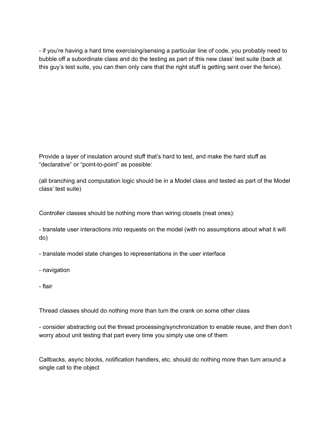- if you're having a hard time exercising/sensing a particular line of code, you probably need to bubble off a subordinate class and do the testing as part of this new class' test suite (back at this guy's test suite, you can then only care that the right stuff is getting sent over the fence).

Provide a layer of insulation around stuff that's hard to test, and make the hard stuff as "declarative" or "point-to-point" as possible:

(all branching and computation logic should be in a Model class and tested as part of the Model class' test suite)

Controller classes should be nothing more than wiring closets (neat ones):

- translate user interactions into requests on the model (with no assumptions about what it will do)

- translate model state changes to representations in the user interface

- navigation
- flair

Thread classes should do nothing more than turn the crank on some other class

- consider abstracting out the thread processing/synchronization to enable reuse, and then don't worry about unit testing that part every time you simply use one of them

Callbacks, async blocks, notification handlers, etc. should do nothing more than turn around a single call to the object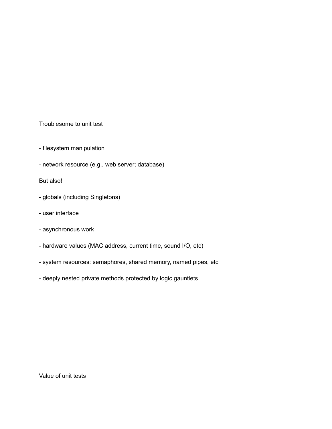Troublesome to unit test

- filesystem manipulation
- network resource (e.g., web server; database)

But also!

- globals (including Singletons)
- user interface
- asynchronous work
- hardware values (MAC address, current time, sound I/O, etc)
- system resources: semaphores, shared memory, named pipes, etc
- deeply nested private methods protected by logic gauntlets

Value of unit tests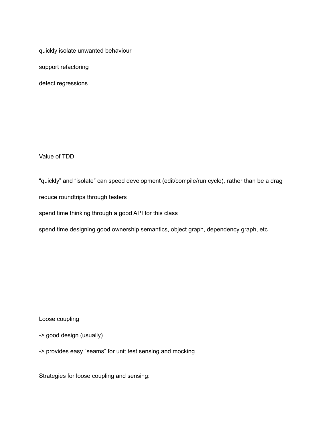quickly isolate unwanted behaviour

support refactoring

detect regressions

Value of TDD

"quickly" and "isolate" can speed development (edit/compile/run cycle), rather than be a drag reduce roundtrips through testers

spend time thinking through a good API for this class

spend time designing good ownership semantics, object graph, dependency graph, etc

Loose coupling

-> good design (usually)

-> provides easy "seams" for unit test sensing and mocking

Strategies for loose coupling and sensing: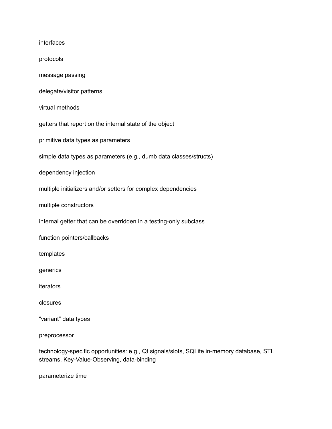interfaces protocols message passing delegate/visitor patterns virtual methods getters that report on the internal state of the object primitive data types as parameters simple data types as parameters (e.g., dumb data classes/structs) dependency injection multiple initializers and/or setters for complex dependencies multiple constructors internal getter that can be overridden in a testing-only subclass function pointers/callbacks templates generics iterators closures "variant" data types preprocessor

technology-specific opportunities: e.g., Qt signals/slots, SQLite in-memory database, STL streams, Key-Value-Observing, data-binding

parameterize time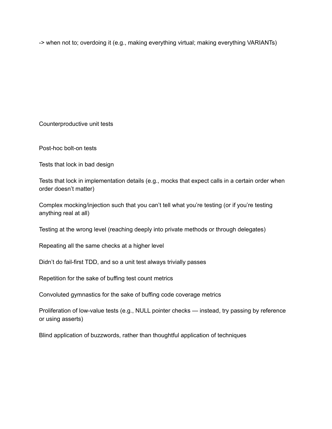-> when not to; overdoing it (e.g., making everything virtual; making everything VARIANTs)

Counterproductive unit tests

Post-hoc bolt-on tests

Tests that lock in bad design

Tests that lock in implementation details (e.g., mocks that expect calls in a certain order when order doesn't matter)

Complex mocking/injection such that you can't tell what you're testing (or if you're testing anything real at all)

Testing at the wrong level (reaching deeply into private methods or through delegates)

Repeating all the same checks at a higher level

Didn't do fail-first TDD, and so a unit test always trivially passes

Repetition for the sake of buffing test count metrics

Convoluted gymnastics for the sake of buffing code coverage metrics

Proliferation of low-value tests (e.g., NULL pointer checks — instead, try passing by reference or using asserts)

Blind application of buzzwords, rather than thoughtful application of techniques